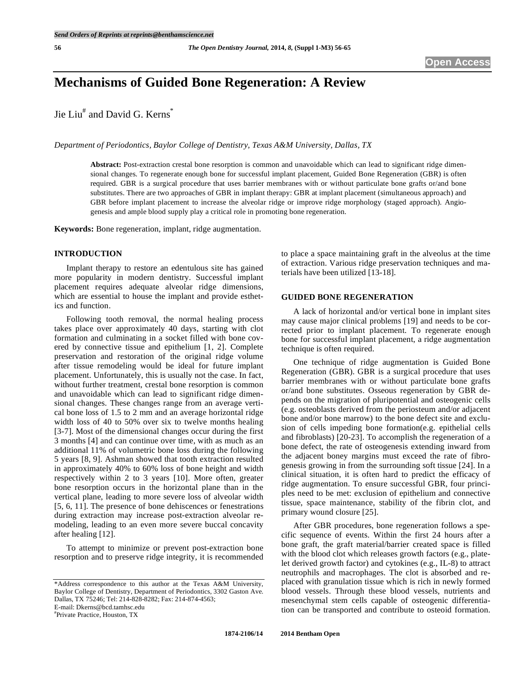# **Mechanisms of Guided Bone Regeneration: A Review**

Jie Liu<sup>#</sup> and David G. Kerns<sup>\*</sup>

*Department of Periodontics, Baylor College of Dentistry, Texas A&M University, Dallas, TX* 

**Abstract:** Post-extraction crestal bone resorption is common and unavoidable which can lead to significant ridge dimensional changes. To regenerate enough bone for successful implant placement, Guided Bone Regeneration (GBR) is often required. GBR is a surgical procedure that uses barrier membranes with or without particulate bone grafts or/and bone substitutes. There are two approaches of GBR in implant therapy: GBR at implant placement (simultaneous approach) and GBR before implant placement to increase the alveolar ridge or improve ridge morphology (staged approach). Angiogenesis and ample blood supply play a critical role in promoting bone regeneration.

**Keywords:** Bone regeneration, implant, ridge augmentation.

#### **INTRODUCTION**

Implant therapy to restore an edentulous site has gained more popularity in modern dentistry. Successful implant placement requires adequate alveolar ridge dimensions, which are essential to house the implant and provide esthetics and function.

Following tooth removal, the normal healing process takes place over approximately 40 days, starting with clot formation and culminating in a socket filled with bone covered by connective tissue and epithelium [1, 2]. Complete preservation and restoration of the original ridge volume after tissue remodeling would be ideal for future implant placement. Unfortunately, this is usually not the case. In fact, without further treatment, crestal bone resorption is common and unavoidable which can lead to significant ridge dimensional changes. These changes range from an average vertical bone loss of 1.5 to 2 mm and an average horizontal ridge width loss of 40 to 50% over six to twelve months healing [3-7]. Most of the dimensional changes occur during the first 3 months [4] and can continue over time, with as much as an additional 11% of volumetric bone loss during the following 5 years [8, 9]. Ashman showed that tooth extraction resulted in approximately 40% to 60% loss of bone height and width respectively within 2 to 3 years [10]. More often, greater bone resorption occurs in the horizontal plane than in the vertical plane, leading to more severe loss of alveolar width [5, 6, 11]. The presence of bone dehiscences or fenestrations during extraction may increase post-extraction alveolar remodeling, leading to an even more severe buccal concavity after healing [12].

To attempt to minimize or prevent post-extraction bone resorption and to preserve ridge integrity, it is recommended

E-mail: Dkerns@bcd.tamhsc.edu

# Private Practice, Houston, TX

to place a space maintaining graft in the alveolus at the time of extraction. Various ridge preservation techniques and materials have been utilized [13-18].

# **GUIDED BONE REGENERATION**

A lack of horizontal and/or vertical bone in implant sites may cause major clinical problems [19] and needs to be corrected prior to implant placement. To regenerate enough bone for successful implant placement, a ridge augmentation technique is often required.

One technique of ridge augmentation is Guided Bone Regeneration (GBR). GBR is a surgical procedure that uses barrier membranes with or without particulate bone grafts or/and bone substitutes. Osseous regeneration by GBR depends on the migration of pluripotential and osteogenic cells (e.g. osteoblasts derived from the periosteum and/or adjacent bone and/or bone marrow) to the bone defect site and exclusion of cells impeding bone formation(e.g. epithelial cells and fibroblasts) [20-23]. To accomplish the regeneration of a bone defect, the rate of osteogenesis extending inward from the adjacent boney margins must exceed the rate of fibrogenesis growing in from the surrounding soft tissue [24]. In a clinical situation, it is often hard to predict the efficacy of ridge augmentation. To ensure successful GBR, four principles need to be met: exclusion of epithelium and connective tissue, space maintenance, stability of the fibrin clot, and primary wound closure [25].

After GBR procedures, bone regeneration follows a specific sequence of events. Within the first 24 hours after a bone graft, the graft material/barrier created space is filled with the blood clot which releases growth factors (e.g., platelet derived growth factor) and cytokines (e.g., IL-8) to attract neutrophils and macrophages. The clot is absorbed and replaced with granulation tissue which is rich in newly formed blood vessels. Through these blood vessels, nutrients and mesenchymal stem cells capable of osteogenic differentiation can be transported and contribute to osteoid formation.

<sup>\*</sup>Address correspondence to this author at the Texas A&M University, Baylor College of Dentistry, Department of Periodontics, 3302 Gaston Ave. Dallas, TX 75246; Tel: 214-828-8282; Fax: 214-874-4563;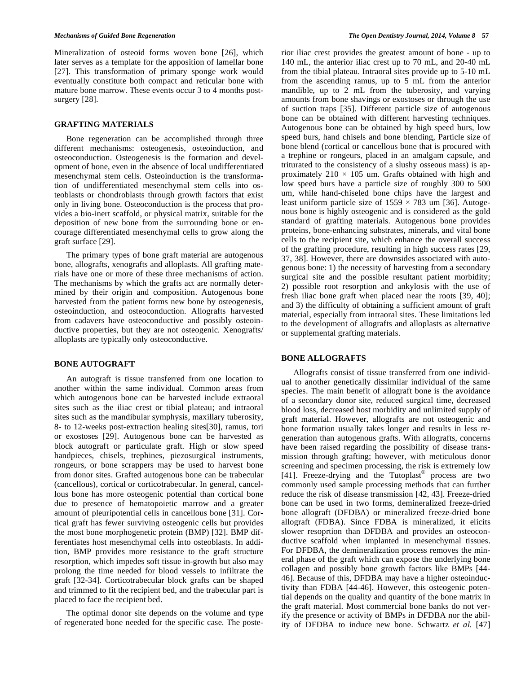Mineralization of osteoid forms woven bone [26], which later serves as a template for the apposition of lamellar bone [27]. This transformation of primary sponge work would eventually constitute both compact and reticular bone with mature bone marrow. These events occur 3 to 4 months postsurgery [28].

# **GRAFTING MATERIALS**

Bone regeneration can be accomplished through three different mechanisms: osteogenesis, osteoinduction, and osteoconduction. Osteogenesis is the formation and development of bone, even in the absence of local undifferentiated mesenchymal stem cells. Osteoinduction is the transformation of undifferentiated mesenchymal stem cells into osteoblasts or chondroblasts through growth factors that exist only in living bone. Osteoconduction is the process that provides a bio-inert scaffold, or physical matrix, suitable for the deposition of new bone from the surrounding bone or encourage differentiated mesenchymal cells to grow along the graft surface [29].

The primary types of bone graft material are autogenous bone, allografts, xenografts and alloplasts. All grafting materials have one or more of these three mechanisms of action. The mechanisms by which the grafts act are normally determined by their origin and composition. Autogenous bone harvested from the patient forms new bone by osteogenesis, osteoinduction, and osteoconduction. Allografts harvested from cadavers have osteoconductive and possibly osteoinductive properties, but they are not osteogenic. Xenografts/ alloplasts are typically only osteoconductive.

# **BONE AUTOGRAFT**

An autograft is tissue transferred from one location to another within the same individual. Common areas from which autogenous bone can be harvested include extraoral sites such as the iliac crest or tibial plateau; and intraoral sites such as the mandibular symphysis, maxillary tuberosity, 8- to 12-weeks post-extraction healing sites[30], ramus, tori or exostoses [29]. Autogenous bone can be harvested as block autograft or particulate graft. High or slow speed handpieces, chisels, trephines, piezosurgical instruments, rongeurs, or bone scrappers may be used to harvest bone from donor sites. Grafted autogenous bone can be trabecular (cancellous), cortical or corticotrabecular. In general, cancellous bone has more osteogenic potential than cortical bone due to presence of hematopoietic marrow and a greater amount of pleuripotential cells in cancellous bone [31]. Cortical graft has fewer surviving osteogenic cells but provides the most bone morphogenetic protein (BMP) [32]. BMP differentiates host mesenchymal cells into osteoblasts. In addition, BMP provides more resistance to the graft structure resorption, which impedes soft tissue in-growth but also may prolong the time needed for blood vessels to infiltrate the graft [32-34]. Corticotrabecular block grafts can be shaped and trimmed to fit the recipient bed, and the trabecular part is placed to face the recipient bed.

The optimal donor site depends on the volume and type of regenerated bone needed for the specific case. The posterior iliac crest provides the greatest amount of bone - up to 140 mL, the anterior iliac crest up to 70 mL, and 20-40 mL from the tibial plateau. Intraoral sites provide up to 5-10 mL from the ascending ramus, up to 5 mL from the anterior mandible, up to 2 mL from the tuberosity, and varying amounts from bone shavings or exostoses or through the use of suction traps [35]. Different particle size of autogenous bone can be obtained with different harvesting techniques. Autogenous bone can be obtained by high speed burs, low speed burs, hand chisels and bone blending, Particle size of bone blend (cortical or cancellous bone that is procured with a trephine or rongeurs, placed in an amalgam capsule, and triturated to the consistency of a slushy osseous mass) is approximately  $210 \times 105$  um. Grafts obtained with high and low speed burs have a particle size of roughly 300 to 500 um, while hand-chiseled bone chips have the largest and least uniform particle size of  $1559 \times 783$  um [36]. Autogenous bone is highly osteogenic and is considered as the gold standard of grafting materials. Autogenous bone provides proteins, bone-enhancing substrates, minerals, and vital bone cells to the recipient site, which enhance the overall success of the grafting procedure, resulting in high success rates [29, 37, 38]. However, there are downsides associated with autogenous bone: 1) the necessity of harvesting from a secondary surgical site and the possible resultant patient morbidity; 2) possible root resorption and ankylosis with the use of fresh iliac bone graft when placed near the roots [39, 40]; and 3) the difficulty of obtaining a sufficient amount of graft material, especially from intraoral sites. These limitations led to the development of allografts and alloplasts as alternative or supplemental grafting materials.

# **BONE ALLOGRAFTS**

Allografts consist of tissue transferred from one individual to another genetically dissimilar individual of the same species. The main benefit of allograft bone is the avoidance of a secondary donor site, reduced surgical time, decreased blood loss, decreased host morbidity and unlimited supply of graft material. However, allografts are not osteogenic and bone formation usually takes longer and results in less regeneration than autogenous grafts. With allografts, concerns have been raised regarding the possibility of disease transmission through grafting; however, with meticulous donor screening and specimen processing, the risk is extremely low [41]. Freeze-drying and the Tutoplast® process are two commonly used sample processing methods that can further reduce the risk of disease transmission [42, 43]. Freeze-dried bone can be used in two forms, demineralized freeze-dried bone allograft (DFDBA) or mineralized freeze-dried bone allograft (FDBA). Since FDBA is mineralized, it elicits slower resoprtion than DFDBA and provides an osteoconductive scaffold when implanted in mesenchymal tissues. For DFDBA, the demineralization process removes the mineral phase of the graft which can expose the underlying bone collagen and possibly bone growth factors like BMPs [44- 46]. Because of this, DFDBA may have a higher osteoinductivity than FDBA [44-46]. However, this osteogenic potential depends on the quality and quantity of the bone matrix in the graft material. Most commercial bone banks do not verify the presence or activity of BMPs in DFDBA nor the ability of DFDBA to induce new bone. Schwartz *et al.* [47]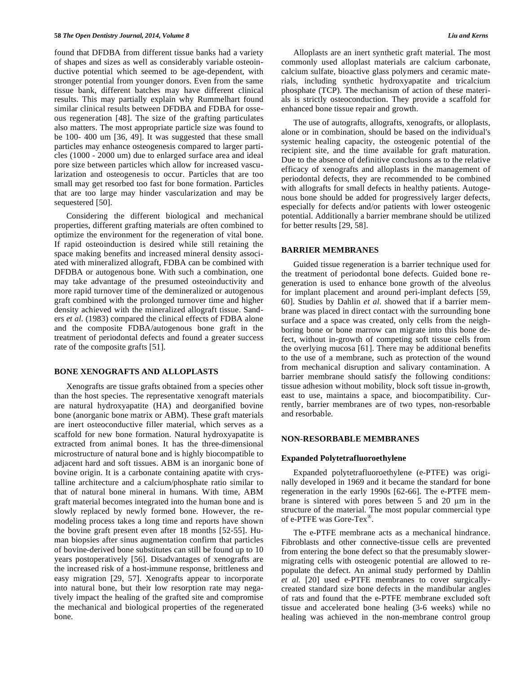found that DFDBA from different tissue banks had a variety of shapes and sizes as well as considerably variable osteoinductive potential which seemed to be age-dependent, with stronger potential from younger donors. Even from the same tissue bank, different batches may have different clinical results. This may partially explain why Rummelhart found similar clinical results between DFDBA and FDBA for osseous regeneration [48]. The size of the grafting particulates also matters. The most appropriate particle size was found to be 100- 400 um [36, 49]. It was suggested that these small particles may enhance osteogenesis compared to larger particles (1000 - 2000 um) due to enlarged surface area and ideal pore size between particles which allow for increased vascularization and osteogenesis to occur. Particles that are too small may get resorbed too fast for bone formation. Particles that are too large may hinder vascularization and may be sequestered [50].

Considering the different biological and mechanical properties, different grafting materials are often combined to optimize the environment for the regeneration of vital bone. If rapid osteoinduction is desired while still retaining the space making benefits and increased mineral density associated with mineralized allograft, FDBA can be combined with DFDBA or autogenous bone. With such a combination, one may take advantage of the presumed osteoinductivity and more rapid turnover time of the demineralized or autogenous graft combined with the prolonged turnover time and higher density achieved with the mineralized allograft tissue. Sanders *et al.* (1983) compared the clinical effects of FDBA alone and the composite FDBA/autogenous bone graft in the treatment of periodontal defects and found a greater success rate of the composite grafts [51].

#### **BONE XENOGRAFTS AND ALLOPLASTS**

Xenografts are tissue grafts obtained from a species other than the host species. The representative xenograft materials are natural hydroxyapatite (HA) and deorganified bovine bone (anorganic bone matrix or ABM). These graft materials are inert osteoconductive filler material, which serves as a scaffold for new bone formation. Natural hydroxyapatite is extracted from animal bones. It has the three-dimensional microstructure of natural bone and is highly biocompatible to adjacent hard and soft tissues. ABM is an inorganic bone of bovine origin. It is a carbonate containing apatite with crystalline architecture and a calcium/phosphate ratio similar to that of natural bone mineral in humans. With time, ABM graft material becomes integrated into the human bone and is slowly replaced by newly formed bone. However, the remodeling process takes a long time and reports have shown the bovine graft present even after 18 months [52-55]. Human biopsies after sinus augmentation confirm that particles of bovine-derived bone substitutes can still be found up to 10 years postoperatively [56]. Disadvantages of xenografts are the increased risk of a host-immune response, brittleness and easy migration [29, 57]. Xenografts appear to incorporate into natural bone, but their low resorption rate may negatively impact the healing of the grafted site and compromise the mechanical and biological properties of the regenerated bone.

Alloplasts are an inert synthetic graft material. The most commonly used alloplast materials are calcium carbonate, calcium sulfate, bioactive glass polymers and ceramic materials, including synthetic hydroxyapatite and tricalcium phosphate (TCP). The mechanism of action of these materials is strictly osteoconduction. They provide a scaffold for enhanced bone tissue repair and growth.

The use of autografts, allografts, xenografts, or alloplasts, alone or in combination, should be based on the individual's systemic healing capacity, the osteogenic potential of the recipient site, and the time available for graft maturation. Due to the absence of definitive conclusions as to the relative efficacy of xenografts and alloplasts in the management of periodontal defects, they are recommended to be combined with allografts for small defects in healthy patients. Autogenous bone should be added for progressively larger defects, especially for defects and/or patients with lower osteogenic potential. Additionally a barrier membrane should be utilized for better results [29, 58].

#### **BARRIER MEMBRANES**

Guided tissue regeneration is a barrier technique used for the treatment of periodontal bone defects. Guided bone regeneration is used to enhance bone growth of the alveolus for implant placement and around peri-implant defects [59, 60]. Studies by Dahlin *et al.* showed that if a barrier membrane was placed in direct contact with the surrounding bone surface and a space was created, only cells from the neighboring bone or bone marrow can migrate into this bone defect, without in-growth of competing soft tissue cells from the overlying mucosa [61]. There may be additional benefits to the use of a membrane, such as protection of the wound from mechanical disruption and salivary contamination. A barrier membrane should satisfy the following conditions: tissue adhesion without mobility, block soft tissue in-growth, east to use, maintains a space, and biocompatibility. Currently, barrier membranes are of two types, non-resorbable and resorbable.

#### **NON-RESORBABLE MEMBRANES**

#### **Expanded Polytetrafluoroethylene**

Expanded polytetrafluoroethylene (e-PTFE) was originally developed in 1969 and it became the standard for bone regeneration in the early 1990s [62-66]. The e-PTFE membrane is sintered with pores between  $5$  and  $20 \mu m$  in the structure of the material. The most popular commercial type of e-PTFE was Gore-Tex®.

The e-PTFE membrane acts as a mechanical hindrance. Fibroblasts and other connective-tissue cells are prevented from entering the bone defect so that the presumably slowermigrating cells with osteogenic potential are allowed to repopulate the defect. An animal study performed by Dahlin *et al.* [20] used e-PTFE membranes to cover surgicallycreated standard size bone defects in the mandibular angles of rats and found that the e-PTFE membrane excluded soft tissue and accelerated bone healing (3-6 weeks) while no healing was achieved in the non-membrane control group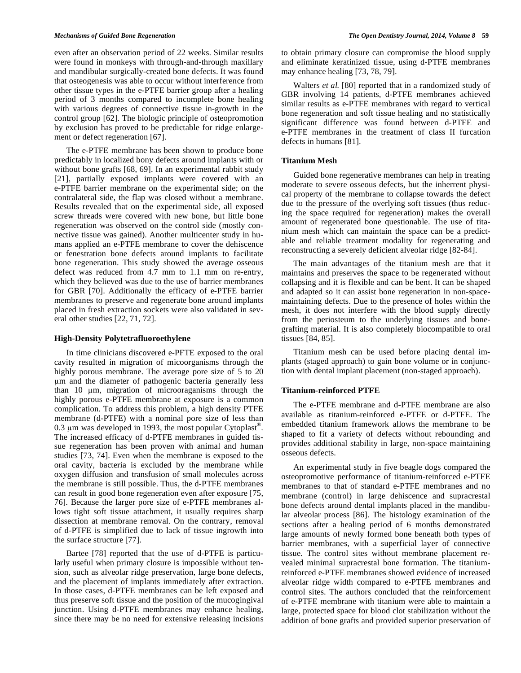even after an observation period of 22 weeks. Similar results were found in monkeys with through-and-through maxillary and mandibular surgically-created bone defects. It was found that osteogenesis was able to occur without interference from other tissue types in the e-PTFE barrier group after a healing period of 3 months compared to incomplete bone healing with various degrees of connective tissue in-growth in the control group [62]. The biologic principle of osteopromotion by exclusion has proved to be predictable for ridge enlargement or defect regeneration [67].

The e-PTFE membrane has been shown to produce bone predictably in localized bony defects around implants with or without bone grafts [68, 69]. In an experimental rabbit study [21], partially exposed implants were covered with an e-PTFE barrier membrane on the experimental side; on the contralateral side, the flap was closed without a membrane. Results revealed that on the experimental side, all exposed screw threads were covered with new bone, but little bone regeneration was observed on the control side (mostly connective tissue was gained). Another multicenter study in humans applied an e-PTFE membrane to cover the dehiscence or fenestration bone defects around implants to facilitate bone regeneration. This study showed the average osseous defect was reduced from 4.7 mm to 1.1 mm on re-entry, which they believed was due to the use of barrier membranes for GBR [70]. Additionally the efficacy of e-PTFE barrier membranes to preserve and regenerate bone around implants placed in fresh extraction sockets were also validated in several other studies [22, 71, 72].

### **High-Density Polytetrafluoroethylene**

In time clinicians discovered e-PFTE exposed to the oral cavity resulted in migration of micoorganisms through the highly porous membrane. The average pore size of 5 to 20 m and the diameter of pathogenic bacteria generally less than 10 m, migration of microoraganisms through the highly porous e-PTFE membrane at exposure is a common complication. To address this problem, a high density PTFE membrane (d-PTFE) with a nominal pore size of less than 0.3  $\mu$ m was developed in 1993, the most popular Cytoplast<sup>®</sup>. The increased efficacy of d-PTFE membranes in guided tissue regeneration has been proven with animal and human studies [73, 74]. Even when the membrane is exposed to the oral cavity, bacteria is excluded by the membrane while oxygen diffusion and transfusion of small molecules across the membrane is still possible. Thus, the d-PTFE membranes can result in good bone regeneration even after exposure [75, 76]. Because the larger pore size of e-PTFE membranes allows tight soft tissue attachment, it usually requires sharp dissection at membrane removal. On the contrary, removal of d-PTFE is simplified due to lack of tissue ingrowth into the surface structure [77].

Bartee [78] reported that the use of d-PTFE is particularly useful when primary closure is impossible without tension, such as alveolar ridge preservation, large bone defects, and the placement of implants immediately after extraction. In those cases, d-PTFE membranes can be left exposed and thus preserve soft tissue and the position of the mucogingival junction. Using d-PTFE membranes may enhance healing, since there may be no need for extensive releasing incisions to obtain primary closure can compromise the blood supply and eliminate keratinized tissue, using d-PTFE membranes may enhance healing [73, 78, 79].

Walters *et al.* [80] reported that in a randomized study of GBR involving 14 patients, d-PTFE membranes achieved similar results as e-PTFE membranes with regard to vertical bone regeneration and soft tissue healing and no statistically significant difference was found between d-PTFE and e-PTFE membranes in the treatment of class II furcation defects in humans [81].

# **Titanium Mesh**

Guided bone regenerative membranes can help in treating moderate to severe osseous defects, but the inherrent physical property of the membrane to collapse towards the defect due to the pressure of the overlying soft tissues (thus reducing the space required for regeneration) makes the overall amount of regenerated bone questionable. The use of titanium mesh which can maintain the space can be a predictable and reliable treatment modality for regenerating and reconstructing a severely deficient alveolar ridge [82-84].

The main advantages of the titanium mesh are that it maintains and preserves the space to be regenerated without collapsing and it is flexible and can be bent. It can be shaped and adapted so it can assist bone regeneration in non-spacemaintaining defects. Due to the presence of holes within the mesh, it does not interfere with the blood supply directly from the periosteum to the underlying tissues and bonegrafting material. It is also completely biocompatible to oral tissues [84, 85].

Titanium mesh can be used before placing dental implants (staged approach) to gain bone volume or in conjunction with dental implant placement (non-staged approach).

# **Titanium-reinforced PTFE**

The e-PTFE membrane and d-PTFE membrane are also available as titanium-reinforced e-PTFE or d-PTFE. The embedded titanium framework allows the membrane to be shaped to fit a variety of defects without rebounding and provides additional stability in large, non-space maintaining osseous defects.

An experimental study in five beagle dogs compared the osteopromotive performance of titanium-reinforced e-PTFE membranes to that of standard e-PTFE membranes and no membrane (control) in large dehiscence and supracrestal bone defects around dental implants placed in the mandibular alveolar process [86]. The histology examination of the sections after a healing period of 6 months demonstrated large amounts of newly formed bone beneath both types of barrier membranes, with a superficial layer of connective tissue. The control sites without membrane placement revealed minimal supracrestal bone formation. The titaniumreinforced e-PTFE membranes showed evidence of increased alveolar ridge width compared to e-PTFE membranes and control sites. The authors concluded that the reinforcement of e-PTFE membrane with titanium were able to maintain a large, protected space for blood clot stabilization without the addition of bone grafts and provided superior preservation of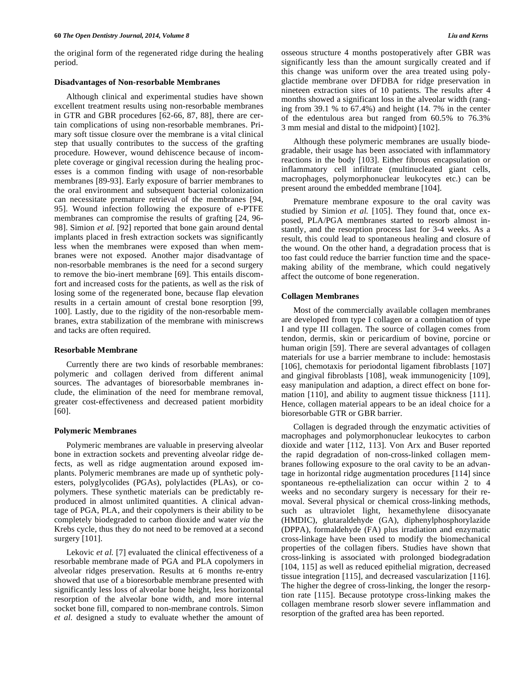the original form of the regenerated ridge during the healing period.

#### **Disadvantages of Non-resorbable Membranes**

Although clinical and experimental studies have shown excellent treatment results using non-resorbable membranes in GTR and GBR procedures [62-66, 87, 88], there are certain complications of using non-resorbable membranes. Primary soft tissue closure over the membrane is a vital clinical step that usually contributes to the success of the grafting procedure. However, wound dehiscence because of incomplete coverage or gingival recession during the healing processes is a common finding with usage of non-resorbable membranes [89-93]. Early exposure of barrier membranes to the oral environment and subsequent bacterial colonization can necessitate premature retrieval of the membranes [94, 95]. Wound infection following the exposure of e-PTFE membranes can compromise the results of grafting [24, 96- 98]. Simion *et al.* [92] reported that bone gain around dental implants placed in fresh extraction sockets was significantly less when the membranes were exposed than when membranes were not exposed. Another major disadvantage of non-resorbable membranes is the need for a second surgery to remove the bio-inert membrane [69]. This entails discomfort and increased costs for the patients, as well as the risk of losing some of the regenerated bone, because flap elevation results in a certain amount of crestal bone resorption [99, 100]. Lastly, due to the rigidity of the non-resorbable membranes, extra stabilization of the membrane with miniscrews and tacks are often required.

#### **Resorbable Membrane**

Currently there are two kinds of resorbable membranes: polymeric and collagen derived from different animal sources. The advantages of bioresorbable membranes include, the elimination of the need for membrane removal, greater cost-effectiveness and decreased patient morbidity [60].

# **Polymeric Membranes**

Polymeric membranes are valuable in preserving alveolar bone in extraction sockets and preventing alveolar ridge defects, as well as ridge augmentation around exposed implants. Polymeric membranes are made up of synthetic polyesters, polyglycolides (PGAs), polylactides (PLAs), or copolymers. These synthetic materials can be predictably reproduced in almost unlimited quantities. A clinical advantage of PGA, PLA, and their copolymers is their ability to be completely biodegraded to carbon dioxide and water *via* the Krebs cycle, thus they do not need to be removed at a second surgery [101].

Lekovic *et al.* [7] evaluated the clinical effectiveness of a resorbable membrane made of PGA and PLA copolymers in alveolar ridges preservation. Results at 6 months re-entry showed that use of a bioresorbable membrane presented with significantly less loss of alveolar bone height, less horizontal resorption of the alveolar bone width, and more internal socket bone fill, compared to non-membrane controls. Simon *et al.* designed a study to evaluate whether the amount of osseous structure 4 months postoperatively after GBR was significantly less than the amount surgically created and if this change was uniform over the area treated using polyglactide membrane over DFDBA for ridge preservation in nineteen extraction sites of 10 patients. The results after 4 months showed a significant loss in the alveolar width (ranging from 39.1 % to 67.4%) and height (14. 7% in the center of the edentulous area but ranged from 60.5% to 76.3% 3 mm mesial and distal to the midpoint) [102].

Although these polymeric membranes are usually biodegradable, their usage has been associated with inflammatory reactions in the body [103]. Either fibrous encapsulation or inflammatory cell infiltrate (multinucleated giant cells, macrophages, polymorphonuclear leukocytes etc.) can be present around the embedded membrane [104].

Premature membrane exposure to the oral cavity was studied by Simion *et al.* [105]. They found that, once exposed, PLA/PGA membranes started to resorb almost instantly, and the resorption process last for 3-4 weeks. As a result, this could lead to spontaneous healing and closure of the wound. On the other hand, a degradation process that is too fast could reduce the barrier function time and the spacemaking ability of the membrane, which could negatively affect the outcome of bone regeneration.

### **Collagen Membranes**

Most of the commercially available collagen membranes are developed from type I collagen or a combination of type I and type III collagen. The source of collagen comes from tendon, dermis, skin or pericardium of bovine, porcine or human origin [59]. There are several advantages of collagen materials for use a barrier membrane to include: hemostasis [106], chemotaxis for periodontal ligament fibroblasts [107] and gingival fibroblasts [108], weak immunogenicity [109], easy manipulation and adaption, a direct effect on bone formation [110], and ability to augment tissue thickness [111]. Hence, collagen material appears to be an ideal choice for a bioresorbable GTR or GBR barrier.

Collagen is degraded through the enzymatic activities of macrophages and polymorphonuclear leukocytes to carbon dioxide and water [112, 113]. Von Arx and Buser reported the rapid degradation of non-cross-linked collagen membranes following exposure to the oral cavity to be an advantage in horizontal ridge augmentation procedures [114] since spontaneous re-epthelialization can occur within 2 to 4 weeks and no secondary surgery is necessary for their removal. Several physical or chemical cross-linking methods, such as ultraviolet light, hexamethylene diisocyanate (HMDIC), glutaraldehyde (GA), diphenylphosphorylazide (DPPA), formaldehyde (FA) plus irradiation and enzymatic cross-linkage have been used to modify the biomechanical properties of the collagen fibers. Studies have shown that cross-linking is associated with prolonged biodegradation [104, 115] as well as reduced epithelial migration, decreased tissue integration [115], and decreased vascularization [116]. The higher the degree of cross-linking, the longer the resorption rate [115]. Because prototype cross-linking makes the collagen membrane resorb slower severe inflammation and resorption of the grafted area has been reported.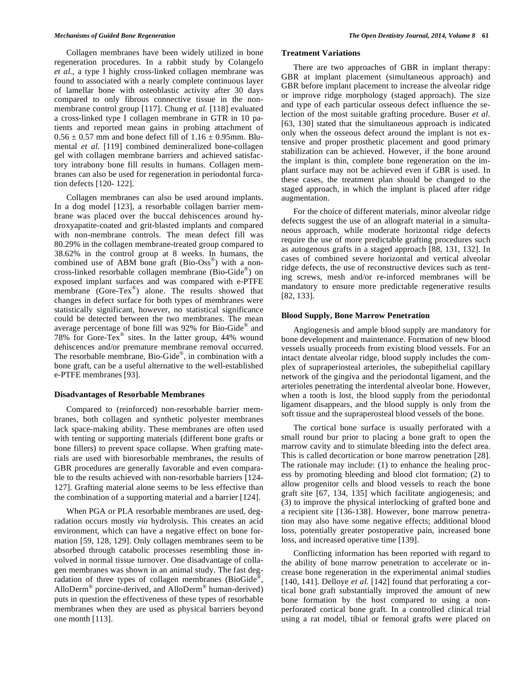Collagen membranes have been widely utilized in bone regeneration procedures. In a rabbit study by Colangelo *et al.*, a type I highly cross-linked collagen membrane was found to associated with a nearly complete continuous layer of lamellar bone with osteoblastic activity after 30 days compared to only fibrous connective tissue in the nonmembrane control group [117]. Chung *et al.* [118] evaluated a cross-linked type I collagen membrane in GTR in 10 patients and reported mean gains in probing attachment of  $0.56 \pm 0.57$  mm and bone defect fill of  $1.16 \pm 0.95$ mm. Blumental *et al.* [119] combined demineralized bone-collagen gel with collagen membrane barriers and achieved satisfactory intrabony bone fill results in humans. Collagen membranes can also be used for regeneration in periodontal furcation defects [120- 122].

Collagen membranes can also be used around implants. In a dog model [123], a resorbable collagen barrier membrane was placed over the buccal dehiscences around hydroxyapatite-coated and grit-blasted implants and compared with non-membrane controls. The mean defect fill was 80.29% in the collagen membrane-treated group compared to 38.62% in the control group at 8 weeks. In humans, the combined use of ABM bone graft  $(Bio-Oss^{\circledast})$  with a noncross-linked resorbable collagen membrane (Bio-Gide®) on exposed implant surfaces and was compared with e-PTFE membrane (Gore-Tex®) alone. The results showed that changes in defect surface for both types of membranes were statistically significant, however, no statistical significance could be detected between the two membranes. The mean average percentage of bone fill was 92% for Bio-Gide® and 78% for Gore-Tex® sites. In the latter group, 44% wound dehiscences and/or premature membrane removal occurred. The resorbable membrane, Bio-Gide®, in combination with a bone graft, can be a useful alternative to the well-established e-PTFE membranes [93].

# **Disadvantages of Resorbable Membranes**

Compared to (reinforced) non-resorbable barrier membranes, both collagen and synthetic polyester membranes lack space-making ability. These membranes are often used with tenting or supporting materials (different bone grafts or bone fillers) to prevent space collapse. When grafting materials are used with bioresorbable membranes, the results of GBR procedures are generally favorable and even comparable to the results achieved with non-resorbable barriers [124- 127]. Grafting material alone seems to be less effective than the combination of a supporting material and a barrier [124].

When PGA or PLA resorbable membranes are used, degradation occurs mostly *via* hydrolysis. This creates an acid environment, which can have a negative effect on bone formation [59, 128, 129]. Only collagen membranes seem to be absorbed through catabolic processes resembling those involved in normal tissue turnover. One disadvantage of collagen membranes was shown in an animal study. The fast degradation of three types of collagen membranes (BioGide®, AlloDerm® porcine-derived, and AlloDerm® human-derived) puts in question the effectiveness of these types of resorbable membranes when they are used as physical barriers beyond one month [113].

# **Treatment Variations**

There are two approaches of GBR in implant therapy: GBR at implant placement (simultaneous approach) and GBR before implant placement to increase the alveolar ridge or improve ridge morphology (staged approach). The size and type of each particular osseous defect influence the selection of the most suitable grafting procedure. Buser *et al.* [63, 130] stated that the simultaneous approach is indicated only when the osseous defect around the implant is not extensive and proper prosthetic placement and good primary stabilization can be achieved. However, if the bone around the implant is thin, complete bone regeneration on the implant surface may not be achieved even if GBR is used. In these cases, the treatment plan should be changed to the staged approach, in which the implant is placed after ridge augmentation.

For the choice of different materials, minor alveolar ridge defects suggest the use of an allograft material in a simultaneous approach, while moderate horizontal ridge defects require the use of more predictable grafting procedures such as autogenous grafts in a staged approach [88, 131, 132]. In cases of combined severe horizontal and vertical alveolar ridge defects, the use of reconstructive devices such as tenting screws, mesh and/or re-inforced membranes will be mandatory to ensure more predictable regenerative results [82, 133].

#### **Blood Supply, Bone Marrow Penetration**

Angiogenesis and ample blood supply are mandatory for bone development and maintenance. Formation of new blood vessels usually proceeds from existing blood vessels. For an intact dentate alveolar ridge, blood supply includes the complex of supraperiosteal arterioles, the subepithelial capillary network of the gingiva and the periodontal ligament, and the arterioles penetrating the interdental alveolar bone. However, when a tooth is lost, the blood supply from the periodontal ligament disappears, and the blood supply is only from the soft tissue and the supraperosteal blood vessels of the bone.

The cortical bone surface is usually perforated with a small round bur prior to placing a bone graft to open the marrow cavity and to stimulate bleeding into the defect area. This is called decortication or bone marrow penetration [28]. The rationale may include: (1) to enhance the healing process by promoting bleeding and blood clot formation; (2) to allow progenitor cells and blood vessels to reach the bone graft site [67, 134, 135] which facilitate angiogenesis; and (3) to improve the physical interlocking of grafted bone and a recipient site [136-138]. However, bone marrow penetration may also have some negative effects; additional blood loss, potentially greater postoperative pain, increased bone loss, and increased operative time [139].

Conflicting information has been reported with regard to the ability of bone marrow penetration to accelerate or increase bone regeneration in the experimental animal studies [140, 141]. Delloye *et al.* [142] found that perforating a cortical bone graft substantially improved the amount of new bone formation by the host compared to using a nonperforated cortical bone graft. In a controlled clinical trial using a rat model, tibial or femoral grafts were placed on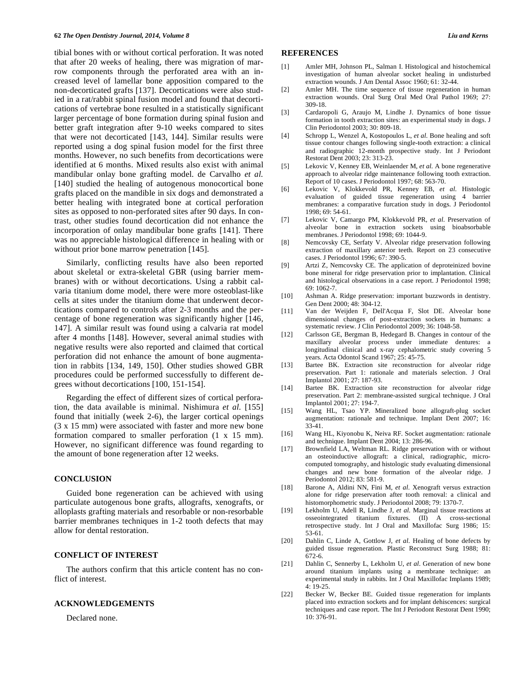tibial bones with or without cortical perforation. It was noted that after 20 weeks of healing, there was migration of marrow components through the perforated area with an increased level of lamellar bone apposition compared to the non-decorticated grafts [137]. Decortications were also studied in a rat/rabbit spinal fusion model and found that decortications of vertebrae bone resulted in a statistically significant larger percentage of bone formation during spinal fusion and better graft integration after 9-10 weeks compared to sites that were not decorticated [143, 144]. Similar results were reported using a dog spinal fusion model for the first three months. However, no such benefits from decortications were identified at 6 months. Mixed results also exist with animal mandibular onlay bone grafting model. de Carvalho *et al.* [140] studied the healing of autogenous monocortical bone grafts placed on the mandible in six dogs and demonstrated a better healing with integrated bone at cortical perforation sites as opposed to non-perforated sites after 90 days. In contrast, other studies found decortication did not enhance the incorporation of onlay mandibular bone grafts [141]. There was no appreciable histological difference in healing with or without prior bone marrow penetration [145].

Similarly, conflicting results have also been reported about skeletal or extra-skeletal GBR (using barrier membranes) with or without decortications. Using a rabbit calvaria titanium dome model, there were more osteoblast-like cells at sites under the titanium dome that underwent decortications compared to controls after 2-3 months and the percentage of bone regeneration was significantly higher [146, 147]. A similar result was found using a calvaria rat model after 4 months [148]. However, several animal studies with negative results were also reported and claimed that cortical perforation did not enhance the amount of bone augmentation in rabbits [134, 149, 150]. Other studies showed GBR procedures could be performed successfully to different degrees without decortications [100, 151-154].

Regarding the effect of different sizes of cortical perforation, the data available is minimal. Nishimura *et al.* [155] found that initially (week 2-6), the larger cortical openings (3 x 15 mm) were associated with faster and more new bone formation compared to smaller perforation (1 x 15 mm). However, no significant difference was found regarding to the amount of bone regeneration after 12 weeks.

# **CONCLUSION**

Guided bone regeneration can be achieved with using particulate autogenous bone grafts, allografts, xenografts, or alloplasts grafting materials and resorbable or non-resorbable barrier membranes techniques in 1-2 tooth defects that may allow for dental restoration.

# **CONFLICT OF INTEREST**

The authors confirm that this article content has no conflict of interest.

# **ACKNOWLEDGEMENTS**

Declared none.

#### **REFERENCES**

- [1] Amler MH, Johnson PL, Salman I. Histological and histochemical investigation of human alveolar socket healing in undisturbed extraction wounds. J Am Dental Assoc 1960; 61: 32-44.
- [2] Amler MH. The time sequence of tissue regeneration in human extraction wounds. Oral Surg Oral Med Oral Pathol 1969; 27: 309-18.
- [3] Cardaropoli G, Araujo M, Lindhe J. Dynamics of bone tissue formation in tooth extraction sites: an experimental study in dogs. J Clin Periodontol 2003; 30: 809-18.
- [4] Schropp L, Wenzel A, Kostopoulos L, *et al*. Bone healing and soft tissue contour changes following single-tooth extraction: a clinical and radiographic 12-month prospective study. Int J Periodont Restorat Dent 2003; 23: 313-23.
- [5] Lekovic V, Kenney EB, Weinlaender M, *et al.* A bone regenerative approach to alveolar ridge maintenance following tooth extraction. Report of 10 cases. J Periodontol 1997; 68: 563-70.
- [6] Lekovic V, Klokkevold PR, Kenney EB, *et al*. Histologic evaluation of guided tissue regeneration using 4 barrier membranes: a comparative furcation study in dogs. J Periodontol 1998; 69: 54-61.
- [7] Lekovic V, Camargo PM, Klokkevold PR, *et al*. Preservation of alveolar bone in extraction sockets using bioabsorbable membranes. J Periodontol 1998; 69: 1044-9.
- [8] Nemcovsky CE, Serfaty V. Alveolar ridge preservation following extraction of maxillary anterior teeth. Report on 23 consecutive cases. J Periodontol 1996; 67: 390-5.
- [9] Artzi Z, Nemcovsky CE. The application of deproteinized bovine bone mineral for ridge preservation prior to implantation. Clinical and histological observations in a case report. J Periodontol 1998; 69: 1062-7.
- [10] Ashman A. Ridge preservation: important buzzwords in dentistry. Gen Dent 2000; 48: 304-12.
- [11] Van der Weijden F, Dell'Acqua F, Slot DE. Alveolar bone dimensional changes of post-extraction sockets in humans: a systematic review. J Clin Periodontol 2009; 36: 1048-58.
- [12] Carlsson GE, Bergman B, Hedegard B. Changes in contour of the maxillary alveolar process under immediate dentures: a longitudinal clinical and x-ray cephalometric study covering 5 years. Acta Odontol Scand 1967; 25: 45-75.
- [13] Bartee BK. Extraction site reconstruction for alveolar ridge preservation. Part 1: rationale and materials selection. J Oral Implantol 2001; 27: 187-93.
- [14] Bartee BK. Extraction site reconstruction for alveolar ridge preservation. Part 2: membrane-assisted surgical technique. J Oral Implantol 2001; 27: 194-7.
- [15] Wang HL, Tsao YP. Mineralized bone allograft-plug socket augmentation: rationale and technique. Implant Dent 2007; 16: 33-41.
- [16] Wang HL, Kiyonobu K, Neiva RF. Socket augmentation: rationale and technique. Implant Dent 2004; 13: 286-96.
- [17] Brownfield LA, Weltman RL. Ridge preservation with or without an osteoinductive allograft: a clinical, radiographic, microcomputed tomography, and histologic study evaluating dimensional changes and new bone formation of the alveolar ridge. J Periodontol 2012; 83: 581-9.
- [18] Barone A, Aldini NN, Fini M, *et al.* Xenograft versus extraction alone for ridge preservation after tooth removal: a clinical and histomorphometric study. J Periodontol 2008; 79: 1370-7.
- [19] Lekholm U, Adell R, Lindhe J, *et al.* Marginal tissue reactions at osseointegrated titanium fixtures. (II) A cross-sectional retrospective study. Int J Oral and Maxillofac Surg 1986; 15: 53-61.
- [20] Dahlin C, Linde A, Gottlow J, *et al.* Healing of bone defects by guided tissue regeneration. Plastic Reconstruct Surg 1988; 81: 672-6.
- [21] Dahlin C, Sennerby L, Lekholm U, *et al*. Generation of new bone around titanium implants using a membrane technique: an experimental study in rabbits. Int J Oral Maxillofac Implants 1989; 4: 19-25.
- [22] Becker W, Becker BE. Guided tissue regeneration for implants placed into extraction sockets and for implant dehiscences: surgical techniques and case report. The Int J Periodont Restorat Dent 1990; 10: 376-91.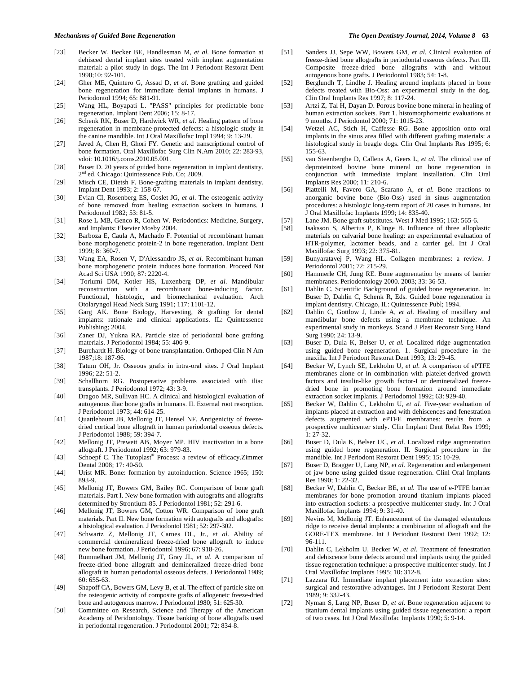- [23] Becker W, Becker BE, Handlesman M, *et al*. Bone formation at dehisced dental implant sites treated with implant augmentation material: a pilot study in dogs. The Int J Periodont Restorat Dent 1990;10: 92-101.
- [24] Gher ME, Quintero G, Assad D, *et al*. Bone grafting and guided bone regeneration for immediate dental implants in humans. J Periodontol 1994; 65: 881-91.
- [25] Wang HL, Boyapati L. "PASS" principles for predictable bone regeneration. Implant Dent 2006; 15: 8-17.
- [26] Schenk RK, Buser D, Hardwick WR, *et al*. Healing pattern of bone regeneration in membrane-protected defects: a histologic study in the canine mandible. Int J Oral Maxillofac Impl 1994; 9: 13-29.
- [27] Javed A, Chen H, Ghori FY. Genetic and transcriptional control of bone formation. Oral Maxillofac Surg Clin N.Am 2010; 22: 283-93, vdoi: 10.1016/j.coms.2010.05.001.
- [28] Buser D. 20 years of guided bone regeneration in implant dentistry. 2<sup>nd</sup> ed. Chicago: Quintessence Pub. Co; 2009.
- [29] Misch CE, Dietsh F. Bone-grafting materials in implant dentistry. Implant Dent 1993; 2: 158-67.
- [30] Evian CI, Rosenberg ES, Coslet JG, *et al*. The osteogenic activity of bone removed from healing extraction sockets in humans. J Periodontol 1982; 53: 81-5.
- [31] Rose L MB, Genco R, Cohen W. Periodontics: Medicine, Surgery, and Implants: Elsevier Mosby 2004.
- [32] Barboza E, Caula A, Machado F. Potential of recombinant human bone morphogenetic protein-2 in bone regeneration. Implant Dent 1999; 8: 360-7.
- [33] Wang EA, Rosen V, D'Alessandro JS, *et al.* Recombinant human bone morphogenetic protein induces bone formation. Proceed Nat Acad Sci USA 1990; 87: 2220-4.
- [34] Toriumi DM, Kotler HS, Luxenberg DP, *et al*. Mandibular reconstruction with a recombinant bone-inducing factor. Functional, histologic, and biomechanical evaluation. Arch Otolaryngol Head Neck Surg 1991; 117: 1101-12.
- [35] Garg AK. Bone Biology, Harvesting, & grafting for dental implants: rationale and clinical applications. IL: Quintessence Publishing; 2004.
- [36] Zaner DJ, Yukna RA. Particle size of periodontal bone grafting materials. J Periodontol 1984; 55: 406-9.
- [37] Burchardt H. Biology of bone transplantation. Orthoped Clin N Am 1987;18: 187-96.
- [38] Tatum OH, Jr. Osseous grafts in intra-oral sites. J Oral Implant  $1996: 22: 51-2$
- [39] Schallhorn RG. Postoperative problems associated with iliac transplants. J Periodontol 1972; 43: 3-9.
- [40] Dragoo MR, Sullivan HC. A clinical and histological evaluation of autogenous iliac bone grafts in humans. II. External root resorption. J Periodontol 1973; 44: 614-25.
- [41] Quattlebaum JB, Mellonig JT, Hensel NF. Antigenicity of freezedried cortical bone allograft in human periodontal osseous defects. J Periodontol 1988; 59: 394-7.
- [42] Mellonig JT, Prewett AB, Moyer MP. HIV inactivation in a bone allograft. J Periodontol 1992; 63: 979-83.
- [43] Schoepf C. The Tutoplast® Process: a review of efficacy.Zimmer Dental 2008; 17: 40-50.
- [44] Urist MR. Bone: formation by autoinduction. Science 1965; 150: 893-9.
- [45] Mellonig JT, Bowers GM, Bailey RC. Comparison of bone graft materials. Part I. New bone formation with autografts and allografts determined by Strontium-85. J Periodontol 1981; 52: 291-6.
- [46] Mellonig JT, Bowers GM, Cotton WR. Comparison of bone graft materials. Part II. New bone formation with autografts and allografts: a histological evaluation. J Periodontol 1981; 52: 297-302.
- [47] Schwartz Z, Mellonig JT, Carnes DL, Jr., *et al*. Ability of commercial demineralized freeze-dried bone allograft to induce new bone formation. J Periodontol 1996; 67: 918-26.
- [48] Rummelhart JM, Mellonig JT, Gray JL, *et al*. A comparison of freeze-dried bone allograft and demineralized freeze-dried bone allograft in human periodontal osseous defects. J Periodontol 1989; 60: 655-63.
- [49] Shapoff CA, Bowers GM, Levy B, et al. The effect of particle size on the osteogenic activity of composite grafts of allogeneic freeze-dried bone and autogenous marrow. J Periodontol 1980; 51: 625-30.
- [50] Committee on Research, Science and Therapy of the American Academy of Peridontology. Tissue banking of bone allografts used in periodontal regeneration. J Periodontol 2001; 72: 834-8.
- [51] Sanders JJ, Sepe WW, Bowers GM, *et al.* Clinical evaluation of freeze-dried bone allografts in periodontal osseous defects. Part III. Composite freeze-dried bone allografts with and without autogenous bone grafts. J Periodontol 1983; 54: 1-8.
- [52] Berglundh T, Lindhe J. Healing around implants placed in bone defects treated with Bio-Oss: an experimental study in the dog. Clin Oral Implants Res 1997; 8: 117-24.
- [53] Artzi Z, Tal H, Dayan D. Porous bovine bone mineral in healing of human extraction sockets. Part 1. histomorphometric evaluations at 9 months. J Periodontol 2000; 71: 1015-23.
- [54] Wetzel AC, Stich H, Caffesse RG. Bone apposition onto oral implants in the sinus area filled with different grafting materials: a histological study in beagle dogs. Clin Oral Implants Res 1995; 6: 155-63.
- [55] van Steenberghe D, Callens A, Geers L, *et al.* The clinical use of deproteinized bovine bone mineral on bone regeneration in conjunction with immediate implant installation. Clin Oral Implants Res 2000; 11: 210-6.
- [56] Piattelli M, Favero GA, Scarano A, *et al*. Bone reactions to anorganic bovine bone (Bio-Oss) used in sinus augmentation procedures: a histologic long-term report of 20 cases in humans. Int J Oral Maxillofac Implants 1999; 14: 835-40.
- [57] Lane JM. Bone graft substitutes. West J Med 1995; 163: 565-6.
- [58] Isaksson S, Alberius P, Klinge B. Influence of three alloplastic materials on calvarial bone healing: an experimental evaluation of HTR-polymer, lactomer beads, and a carrier gel. Int J Oral Maxillofac Surg 1993; 22: 375-81.
- [59] Bunyaratavej P, Wang HL. Collagen membranes: a review. J Periodontol 2001; 72: 215-29.
- [60] Hammerle CH, Jung RE. Bone augmentation by means of barrier membranes. Periodontology 2000. 2003; 33: 36-53.
- [61] Dahlin C. Scientific Background of guided bone regeneration. In: Buser D, Dahlin C, Schenk R, Eds. Guided bone regeneration in implant dentistry. Chicago, IL: Quintessence Publ; 1994.
- [62] Dahlin C, Gottlow J, Linde A, *et al*. Healing of maxillary and mandibular bone defects using a membrane technique. An experimental study in monkeys. Scand J Plast Reconstr Surg Hand Surg 1990; 24: 13-9.
- [63] Buser D, Dula K, Belser U, *et al.* Localized ridge augmentation using guided bone regeneration. 1. Surgical procedure in the maxilla. Int J Periodont Restorat Dent 1993; 13: 29-45.
- [64] Becker W, Lynch SE, Lekholm U, *et al*. A comparison of ePTFE membranes alone or in combination with platelet-derived growth factors and insulin-like growth factor-I or demineralized freezedried bone in promoting bone formation around immediate extraction socket implants. J Periodontol 1992; 63: 929-40.
- [65] Becker W, Dahlin C, Lekholm U, *et al.* Five-year evaluation of implants placed at extraction and with dehiscences and fenestration defects augmented with ePTFE membranes: results from a prospective multicenter study. Clin Implant Dent Relat Res 1999; 1: 27-32.
- [66] Buser D, Dula K, Belser UC, *et al*. Localized ridge augmentation using guided bone regeneration. II. Surgical procedure in the mandible. Int J Periodont Restorat Dent 1995; 15: 10-29.
- [67] Buser D, Bragger U, Lang NP, *et al.* Regeneration and enlargement of jaw bone using guided tissue regeneration. Clinl Oral Implants Res 1990; 1: 22-32.
- [68] Becker W, Dahlin C, Becker BE, *et al.* The use of e-PTFE barrier membranes for bone promotion around titanium implants placed into extraction sockets: a prospective multicenter study. Int J Oral Maxillofac Implants 1994; 9: 31-40.
- [69] Nevins M, Mellonig JT. Enhancement of the damaged edentulous ridge to receive dental implants: a combination of allograft and the GORE-TEX membrane. Int J Periodont Restorat Dent 1992; 12: 96-111.
- [70] Dahlin C, Lekholm U, Becker W, *et al*. Treatment of fenestration and dehiscence bone defects around oral implants using the guided tissue regeneration technique: a prospective multicenter study. Int J Oral Maxillofac Implants 1995; 10: 312-8.
- [71] Lazzara RJ. Immediate implant placement into extraction sites: surgical and restorative advantages. Int J Periodont Restorat Dent 1989; 9: 332-43.
- [72] Nyman S, Lang NP, Buser D, *et al*. Bone regeneration adjacent to titanium dental implants using guided tissue regeneration: a report of two cases. Int J Oral Maxillofac Implants 1990; 5: 9-14.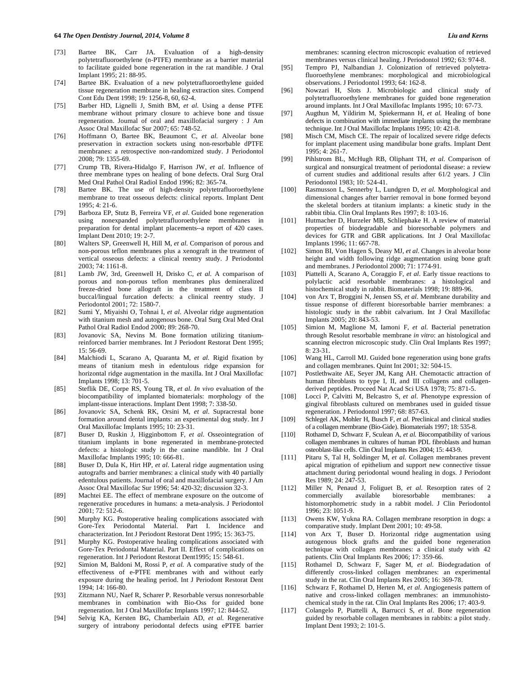- [73] Bartee BK, Carr JA. Evaluation of a high-density polytetrafluoroethylene (n-PTFE) membrane as a barrier material to facilitate guided bone regeneration in the rat mandible. J Oral Implant 1995; 21: 88-95.
- [74] Bartee BK. Evaluation of a new polytetrafluoroethylene guided tissue regeneration membrane in healing extraction sites. Compend Cont Edu Dent 1998; 19: 1256-8, 60, 62-4.
- [75] Barber HD, Lignelli J, Smith BM, *et al*. Using a dense PTFE membrane without primary closure to achieve bone and tissue regeneration. Journal of oral and maxillofacial surgery : J Am Assoc Oral Maxillofac Sur 2007; 65: 748-52.
- [76] Hoffmann O, Bartee BK, Beaumont C, *et al*. Alveolar bone preservation in extraction sockets using non-resorbable dPTFE membranes: a retrospective non-randomized study. J Periodontol 2008; 79: 1355-69.
- [77] Crump TB, Rivera-Hidalgo F, Harrison JW, *et al*. Influence of three membrane types on healing of bone defects. Oral Surg Oral Med Oral Pathol Oral Radiol Endod 1996; 82: 365-74.
- [78] Bartee BK. The use of high-density polytetrafluoroethylene membrane to treat osseous defects: clinical reports. Implant Dent  $1995 \cdot 4 \cdot 21 - 6$
- [79] Barboza EP, Stutz B, Ferreira VF, *et al*. Guided bone regeneration using nonexpanded polytetrafluoroethylene membranes in preparation for dental implant placements--a report of 420 cases. Implant Dent 2010; 19: 2-7.
- [80] Walters SP, Greenwell H, Hill M, *et al*. Comparison of porous and non-porous teflon membranes plus a xenograft in the treatment of vertical osseous defects: a clinical reentry study. J Periodontol 2003; 74: 1161-8.
- [81] Lamb JW, 3rd, Greenwell H, Drisko C, *et al.* A comparison of porous and non-porous teflon membranes plus demineralized freeze-dried bone allograft in the treatment of class II buccal/lingual furcation defects: a clinical reentry study. J Periodontol 2001; 72: 1580-7.
- [82] Sumi Y, Miyaishi O, Tohnai I, *et al*. Alveolar ridge augmentation with titanium mesh and autogenous bone. Oral Surg Oral Med Oral Pathol Oral Radiol Endod 2000; 89: 268-70.
- [83] Jovanovic SA, Nevins M. Bone formation utilizing titaniumreinforced barrier membranes. Int J Periodont Restorat Dent 1995; 15: 56-69.
- [84] Malchiodi L, Scarano A, Quaranta M, *et al.* Rigid fixation by means of titanium mesh in edentulous ridge expansion for horizontal ridge augmentation in the maxilla. Int J Oral Maxillofac Implants 1998; 13: 701-5.
- [85] Steflik DE, Corpe RS, Young TR, *et al. In vivo* evaluation of the biocompatibility of implanted biomaterials: morphology of the implant-tissue interactions. Implant Dent 1998; 7: 338-50.
- [86] Jovanovic SA, Schenk RK, Orsini M, *et al*. Supracrestal bone formation around dental implants: an experimental dog study. Int J Oral Maxillofac Implants 1995; 10: 23-31.
- [87] Buser D, Ruskin J, Higginbottom F, *et al*. Osseointegration of titanium implants in bone regenerated in membrane-protected defects: a histologic study in the canine mandible. Int J Oral Maxillofac Implants 1995; 10: 666-81.
- [88] Buser D, Dula K, Hirt HP, *et al*. Lateral ridge augmentation using autografts and barrier membranes: a clinical study with 40 partially edentulous patients. Journal of oral and maxillofacial surgery. J Am Assoc Oral Maxillofac Sur 1996; 54: 420-32; discussion 32-3.
- [89] Machtei EE. The effect of membrane exposure on the outcome of regenerative procedures in humans: a meta-analysis. J Periodontol 2001; 72: 512-6.
- [90] Murphy KG. Postoperative healing complications associated with Gore-Tex Periodontal Material. Part I. Incidence and characterization. Int J Periodont Restorat Dent 1995; 15: 363-75.
- [91] Murphy KG. Postoperative healing complications associated with Gore-Tex Periodontal Material. Part II. Effect of complications on regeneration. Int J Periodont Restorat Dent1995; 15: 548-61.
- [92] Simion M, Baldoni M, Rossi P, *et al.* A comparative study of the effectiveness of e-PTFE membranes with and without early exposure during the healing period. Int J Periodont Restorat Dent 1994; 14: 166-80.
- [93] Zitzmann NU, Naef R, Scharer P. Resorbable versus nonresorbable membranes in combination with Bio-Oss for guided bone regeneration. Int J Oral Maxillofac Implants 1997; 12: 844-52.
- [94] Selvig KA, Kersten BG, Chamberlain AD, *et al*. Regenerative surgery of intrabony periodontal defects using ePTFE barrier

membranes: scanning electron microscopic evaluation of retrieved membranes versus clinical healing. J Periodontol 1992; 63: 974-8.

- [95] Tempro PJ, Nalbandian J. Colonization of retrieved polytetrafluoroethylene membranes: morphological and microbiological observations. J Periodontol 1993; 64: 162-8.
- [96] Nowzari H, Slots J. Microbiologic and clinical study of polytetrafluoroethylene membranes for guided bone regeneration around implants. Int J Oral Maxillofac Implants 1995; 10: 67-73.
- [97] Augthun M, Yildirim M, Spiekermann H, *et al.* Healing of bone defects in combination with immediate implants using the membrane technique. Int J Oral Maxillofac Implants 1995; 10: 421-8.
- [98] Misch CM, Misch CE. The repair of localized severe ridge defects for implant placement using mandibular bone grafts. Implant Dent 1995; 4: 261-7.
- [99] Pihlstrom BL, McHugh RB, Oliphant TH, *et al*. Comparison of surgical and nonsurgical treatment of periodontal disease: a review of current studies and additional results after 61/2 years. J Clin Periodontol 1983; 10: 524-41.
- [100] Rasmusson L, Sennerby L, Lundgren D, *et al.* Morphological and dimensional changes after barrier removal in bone formed beyond the skeletal borders at titanium implants: a kinetic study in the rabbit tibia. Clin Oral Implants Res 1997; 8: 103-16.
- [101] Hutmacher D, Hurzeler MB, Schliephake H. A review of material properties of biodegradable and bioresorbable polymers and devices for GTR and GBR applications. Int J Oral Maxillofac Implants 1996; 11: 667-78.
- [102] Simon BI, Von Hagen S, Deasy MJ, *et al*. Changes in alveolar bone height and width following ridge augmentation using bone graft and membranes. J Periodontol 2000; 71: 1774-91.
- [103] Piattelli A, Scarano A, Coraggio F, *et al*. Early tissue reactions to polylactic acid resorbable membranes: a histological and histochemical study in rabbit. Biomaterials 1998; 19: 889-96.
- [104] von Arx T, Broggini N, Jensen SS, *et al*. Membrane durability and tissue response of different bioresorbable barrier membranes: a histologic study in the rabbit calvarium. Int J Oral Maxillofac Implants 2005; 20: 843-53.
- [105] Simion M, Maglione M, Iamoni F, *et al*. Bacterial penetration through Resolut resorbable membrane *in vitro*: an histological and scanning electron microscopic study. Clin Oral Implants Res 1997; 8: 23-31.
- [106] Wang HL, Carroll MJ. Guided bone regeneration using bone grafts and collagen membranes. Quint Int 2001; 32: 504-15.
- [107] Postlethwaite AE, Seyer JM, Kang AH. Chemotactic attraction of human fibroblasts to type I, II, and III collagens and collagenderived peptides. Proceed Nat Acad Sci USA 1978; 75: 871-5.
- [108] Locci P, Calvitti M, Belcastro S, *et al*. Phenotype expression of gingival fibroblasts cultured on membranes used in guided tissue regeneration. J Periodontol 1997; 68: 857-63.
- [109] Schlegel AK, Mohler H, Busch F, *et al*. Preclinical and clinical studies of a collagen membrane (Bio-Gide). Biomaterials 1997; 18: 535-8.
- [110] Rothamel D, Schwarz F, Sculean A, *et al.* Biocompatibility of various collagen membranes in cultures of human PDL fibroblasts and human osteoblast-like cells. Clin Oral Implants Res 2004; 15: 443-9.
- [111] Pitaru S, Tal H, Soldinger M, *et al.* Collagen membranes prevent apical migration of epithelium and support new connective tissue attachment during periodontal wound healing in dogs. J Periodont Res 1989; 24: 247-53.
- [112] Miller N, Penaud J, Foliguet B, *et al*. Resorption rates of 2 commercially available bioresorbable membranes: a histomorphometric study in a rabbit model. J Clin Periodontol 1996; 23: 1051-9.
- [113] Owens KW, Yukna RA. Collagen membrane resorption in dogs: a comparative study. Implant Dent 2001; 10: 49-58.
- [114] von Arx T, Buser D. Horizontal ridge augmentation using autogenous block grafts and the guided bone regeneration technique with collagen membranes: a clinical study with 42 patients. Clin Oral Implants Res 2006; 17: 359-66.
- [115] Rothamel D, Schwarz F, Sager M, *et al*. Biodegradation of differently cross-linked collagen membranes: an experimental study in the rat. Clin Oral Implants Res 2005; 16: 369-78.
- [116] Schwarz F, Rothamel D, Herten M, *et al*. Angiogenesis pattern of native and cross-linked collagen membranes: an immunohistochemical study in the rat. Clin Oral Implants Res 2006; 17: 403-9.
- [117] Colangelo P, Piattelli A, Barrucci S, *et al*. Bone regeneration guided by resorbable collagen membranes in rabbits: a pilot study. Implant Dent 1993; 2: 101-5.